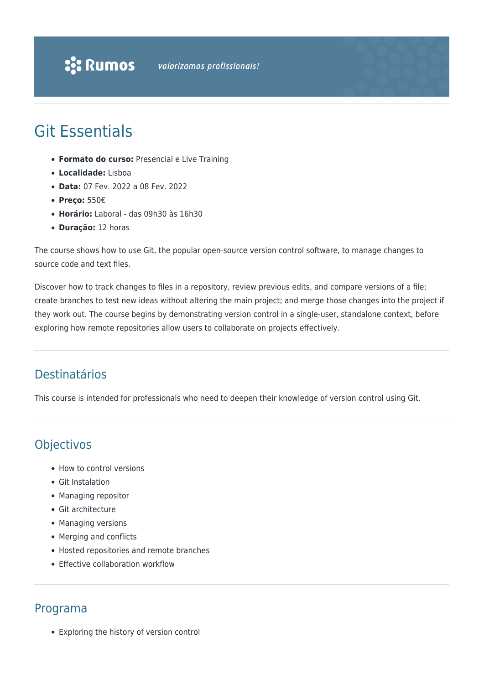

## Git Essentials

- **Formato do curso:** Presencial e Live Training
- **Localidade:** Lisboa
- **Data:** 07 Fev. 2022 a 08 Fev. 2022
- **Preço:** 550€
- **Horário:** Laboral das 09h30 às 16h30
- **Duração:** 12 horas

The course shows how to use Git, the popular open-source version control software, to manage changes to source code and text files.

Discover how to track changes to files in a repository, review previous edits, and compare versions of a file; create branches to test new ideas without altering the main project; and merge those changes into the project if they work out. The course begins by demonstrating version control in a single-user, standalone context, before exploring how remote repositories allow users to collaborate on projects effectively.

## Destinatários

This course is intended for professionals who need to deepen their knowledge of version control using Git.

## **Objectivos**

- How to control versions
- Git Instalation
- Managing repositor
- Git architecture
- Managing versions
- Merging and conflicts
- Hosted repositories and remote branches
- Effective collaboration workflow

## Programa

Exploring the history of version control